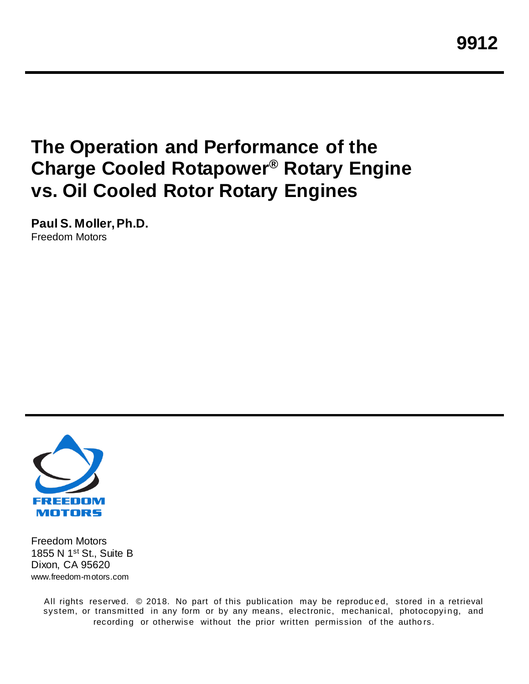**9912**

# **The Operation and Performance of the Charge Cooled Rotapower® Rotary Engine vs. Oil Cooled Rotor Rotary Engines**

**Paul S. Moller, Ph.D.** Freedom Motors



Freedom Motors 1855 N 1<sup>st</sup> St., Suite B Dixon, CA 95620 www.freedom-motors.com

> All rights reserved. © 2018. No part of this publication may be reproduc ed, stored in a retrieval system, or transmitted in any form or by any means, electronic, mechanical, photocopying, and recording or otherwise without the prior written permission of the authors.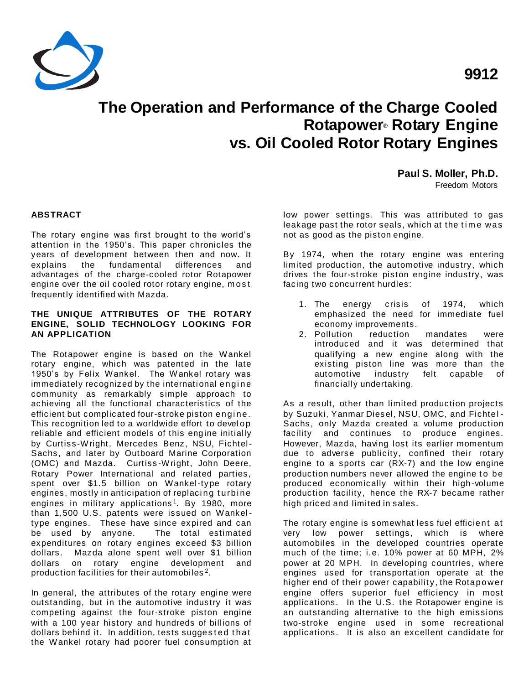

# **The Operation and Performance of the Charge Cooled Rotapower® Rotary Engine vs. Oil Cooled Rotor Rotary Engines**

**Paul S. Moller, Ph.D.**

Freedom Motors

## **ABSTRACT**

The rotary engine was first brought to the world's attention in the 1950's. This paper chronicles the years of development between then and now. It explains the fundamental differences and advantages of the charge-cooled rotor Rotapower engine over the oil cooled rotor rotary engine, m os t frequently identified with Mazda.

## **THE UNIQUE ATTRIBUTES OF THE ROTARY ENGINE, SOLID TECHNOLOGY LOOKING FOR AN APPLICATION**

The Rotapower engine is based on the Wankel rotary engine, which was patented in the late 1950's by Felix Wankel. The Wankel rotary was immediately recognized by the international engine community as remarkably simple approach to achieving all the functional characteristics of the efficient but complicated four-stroke piston engine. This recognition led to a worldwide effort to devel op reliable and efficient models of this engine initially by Curtiss -Wright, Mercedes Benz, NSU, Fichtel-Sachs, and later by Outboard Marine Corporation (OMC) and Mazda. Curtiss -Wright, John Deere, Rotary Power International and related parties, spent over \$1.5 billion on Wankel-type rotary engines, mostly in anticipation of replacing turbine engines in military applications<sup>1</sup>. By 1980, more than 1,500 U.S. patents were issued on Wankeltype engines. These have since expired and can be used by anyone. The total estimated expenditures on rotary engines exceed \$3 billion dollars. Mazda alone spent well over \$1 billion dollars on rotary engine development and production facilities for their automobiles  $2$ .

In general, the attributes of the rotary engine were outstanding, but in the automotive industry it was competing against the four-stroke piston engine with a 100 year history and hundreds of billions of dollars behind it. In addition, tests suggested that the Wankel rotary had poorer fuel consumption at

low power settings. This was attributed to gas leakage past the rotor seals, which at the time was not as good as the piston engine.

By 1974, when the rotary engine was entering limited production, the automotive industry, which drives the four-stroke piston engine industry, was facing two concurrent hurdles:

- 1. The energy crisis of 1974, which emphasized the need for immediate fuel economy improvements.
- 2. Pollution reduction mandates were introduced and it was determined that qualifying a new engine along with the existing piston line was more than the automotive industry felt capable of financially undertaking.

As a result, other than limited production projects by Suzuki, Yanmar Diesel, NSU, OMC, and Fichtel - Sachs, only Mazda created a volume production facility and continues to produce engines. However, Mazda, having lost its earlier momentum due to adverse publicity, confined their rotary engine to a sports car (RX-7) and the low engine production numbers never allowed the engine to be produced economically within their high-volume production facility, hence the RX-7 became rather high priced and limited in sales.

The rotary engine is somewhat less fuel efficient at very low power settings, which is where automobiles in the developed countries operate much of the time; i.e. 10% power at 60 MPH, 2% power at 20 MPH. In developing countries, where engines used for transportation operate at the higher end of their power capability, the Rotapower engine offers superior fuel efficiency in most applications. In the U.S. the Rotapower engine is an outstanding alternative to the high emissions two-stroke engine used in some recreational applications. It is also an excellent candidate for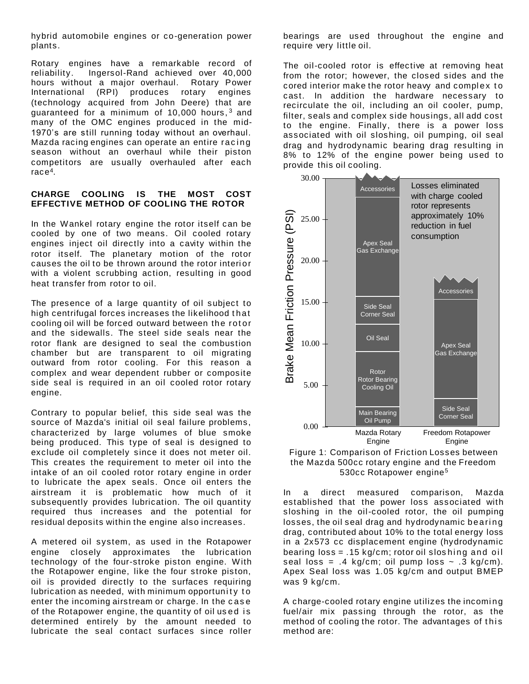hybrid automobile engines or co-generation power plants.

Rotary engines have a remarkable record of reliability. Ingersol-Rand achieved over 40,000 hours without a major overhaul. Rotary Power International (RPI) produces rotary engines (technology acquired from John Deere) that are guaranteed for a minimum of 10,000 hours,  $3$  and many of the OMC engines produced in the mid-1970's are still running today without an overhaul. Mazda racing engines can operate an entire racing season without an overhaul while their piston competitors are usually overhauled after each race<sup>4</sup> .

#### **CHARGE COOLING IS THE MOST COST EFFECTIVE METHOD OF COOLING THE ROTOR**

In the Wankel rotary engine the rotor itself can be cooled by one of two means. Oil cooled rotary engines inject oil directly into a cavity within the rotor itself. The planetary motion of the rotor causes the oil to be thrown around the rotor interi or with a violent scrubbing action, resulting in good heat transfer from rotor to oil.

The presence of a large quantity of oil subject to high centrifugal forces increases the likelihood that cooling oil will be forced outward between the rot or and the sidewalls. The steel side seals near the rotor flank are designed to seal the combustion chamber but are transparent to oil migrating outward from rotor cooling. For this reason a complex and wear dependent rubber or composite side seal is required in an oil cooled rotor rotary engine.

Contrary to popular belief, this side seal was the source of Mazda's initial oil seal failure problems, characterized by large volumes of blue smoke being produced. This type of seal is designed to exclude oil completely since it does not meter oil. This creates the requirement to meter oil into the intake of an oil cooled rotor rotary engine in order to lubricate the apex seals. Once oil enters the airstream it is problematic how much of it subsequently provides lubrication. The oil quantity required thus increases and the potential for residual deposits within the engine also increases.

A metered oil system, as used in the Rotapower engine closely approximates the lubrication technology of the four-stroke piston engine. With the Rotapower engine, like the four stroke piston, oil is provided directly to the surfaces requiring lubrication as needed, with minimum opportunity to enter the incoming airstream or charge. In the c as e of the Rotapower engine, the quantity of oil used is determined entirely by the amount needed to lubricate the seal contact surfaces since roller

bearings are used throughout the engine and require very little oil.

The oil-cooled rotor is effective at removing heat from the rotor; however, the closed sides and the cored interior make the rotor heavy and complex to cast. In addition the hardware necessary to recirculate the oil, including an oil cooler, pump, filter, seals and complex side housings, all add cost to the engine. Finally, there is a power loss associated with oil sloshing, oil pumping, oil seal drag and hydrodynamic bearing drag resulting in 8% to 12% of the engine power being used to provide this oil cooling.





In a direct measured comparison, Mazda established that the power loss associated with sloshing in the oil-cooled rotor, the oil pumping losses, the oil seal drag and hydrodynamic bearing drag, contributed about 10% to the total energy loss in a 2x573 cc displacement engine (hydrodynamic bearing  $loss = .15 kg/cm$ ; rotor oil sloshing and oil seal loss =  $.4 \text{ kg/cm}$ ; oil pump loss  $\sim .3 \text{ kg/cm}$ ). Apex Seal loss was 1.05 kg/cm and output BMEP was 9 kg/cm.

A charge-cooled rotary engine utilizes the incomi ng fuel/air mix passing through the rotor, as the method of cooling the rotor. The advantages of this method are: